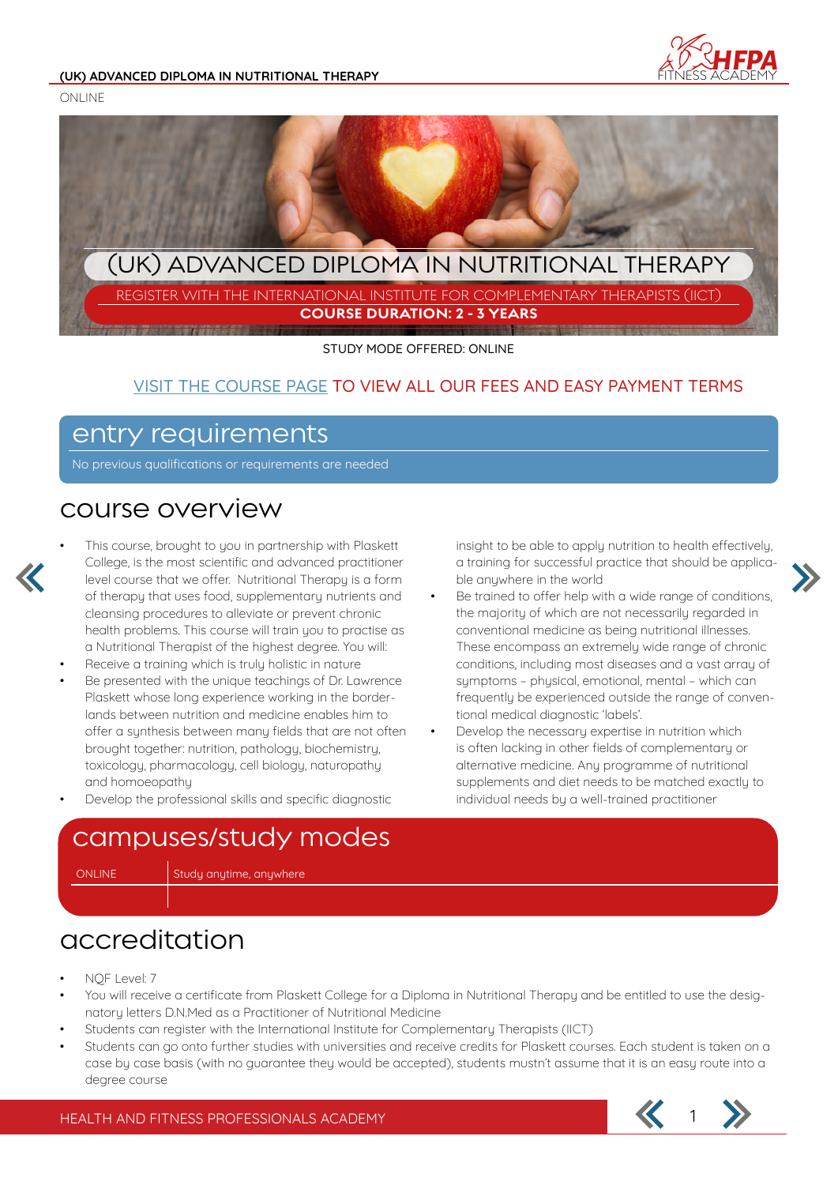

ONLINE



STUDY MODE OFFERED: ONLINE

#### VISIT THE COURSE PAGE TO VIEW ALL OUR FEES AND EASY PAYMENT TERMS

### entry requirements

No previous qualifications or requirements are needed

#### course overview



This course, brought to you in partnership with Plaskett College, is the most scientific and advanced practitioner level course that we offer. Nutritional Therapy is a form of therapy that uses food, supplementary nutrients and cleansing procedures to alleviate or prevent chronic health problems. This course will train you to practise as a Nutritional Therapist of the highest degree. You will:

- Receive a training which is truly holistic in nature
- Be presented with the unique teachings of Dr. Lawrence Plaskett whose long experience working in the borderlands between nutrition and medicine enables him to offer a synthesis between many fields that are not often brought together: nutrition, pathology, biochemistry, toxicology, pharmacology, cell biology, naturopathy and homoeopathy
- Develop the professional skills and specific diagnostic

insight to be able to apply nutrition to health effectively, a training for successful practice that should be applicable anuwhere in the world

- Be trained to offer help with a wide range of conditions, the majority of which are not necessarily regarded in conventional medicine as being nutritional illnesses. These encompass an extremely wide range of chronic conditions, including most diseases and a vast array of symptoms – physical, emotional, mental – which can frequently be experienced outside the range of conventional medical diagnostic 'labels'.
- Develop the necessary expertise in nutrition which is often lacking in other fields of complementary or alternative medicine. Any programme of nutritional supplements and diet needs to be matched exactly to individual needs by a well-trained practitioner

## campuses/study modes

ONLINE Study anytime, anywhere

### accreditation

- NQF Level: 7
- You will receive a certificate from Plaskett College for a Diploma in Nutritional Therapy and be entitled to use the designatory letters D.N.Med as a Practitioner of Nutritional Medicine
- Students can register with the International Institute for Complementary Therapists (IICT)
- Students can go onto further studies with universities and receive credits for Plaskett courses. Each student is taken on a case by case basis (with no guarantee they would be accepted), students mustn't assume that it is an easy route into a degree course